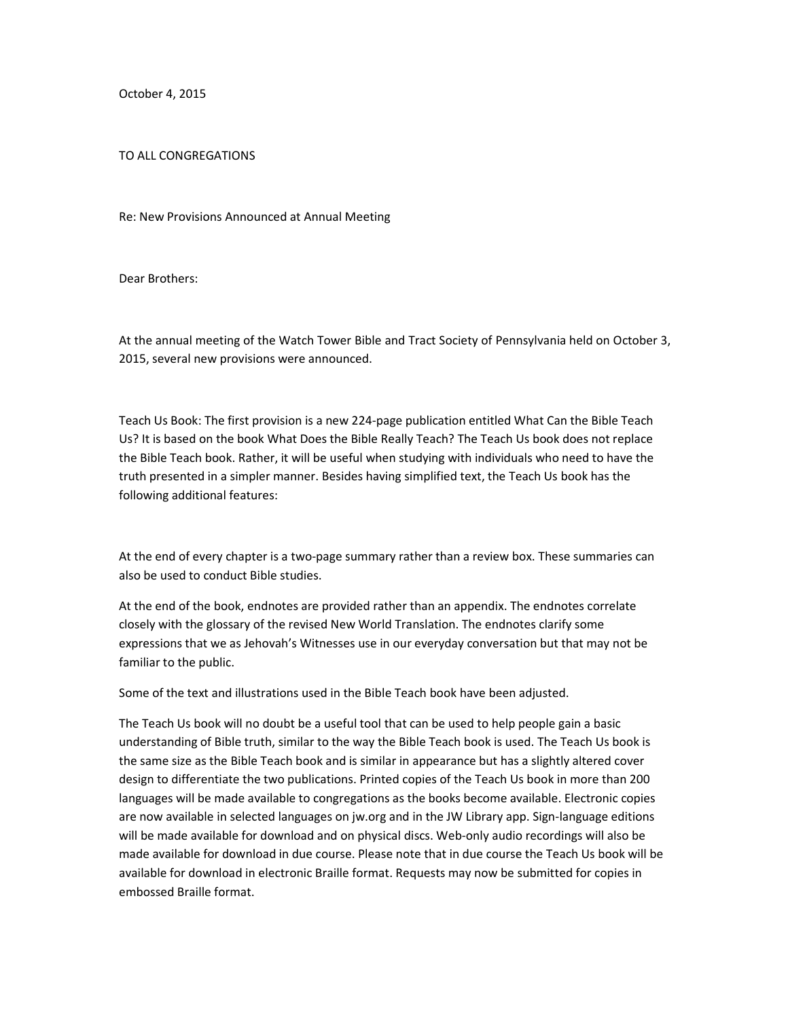October 4, 2015

## TO ALL CONGREGATIONS

Re: New Provisions Announced at Annual Meeting

Dear Brothers:

At the annual meeting of the Watch Tower Bible and Tract Society of Pennsylvania held on October 3, 2015, several new provisions were announced.

Teach Us Book: The first provision is a new 224-page publication entitled What Can the Bible Teach Us? It is based on the book What Does the Bible Really Teach? The Teach Us book does not replace the Bible Teach book. Rather, it will be useful when studying with individuals who need to have the truth presented in a simpler manner. Besides having simplified text, the Teach Us book has the following additional features:

At the end of every chapter is a two-page summary rather than a review box. These summaries can also be used to conduct Bible studies.

At the end of the book, endnotes are provided rather than an appendix. The endnotes correlate closely with the glossary of the revised New World Translation. The endnotes clarify some expressions that we as Jehovah's Witnesses use in our everyday conversation but that may not be familiar to the public.

Some of the text and illustrations used in the Bible Teach book have been adjusted.

The Teach Us book will no doubt be a useful tool that can be used to help people gain a basic understanding of Bible truth, similar to the way the Bible Teach book is used. The Teach Us book is the same size as the Bible Teach book and is similar in appearance but has a slightly altered cover design to differentiate the two publications. Printed copies of the Teach Us book in more than 200 languages will be made available to congregations as the books become available. Electronic copies are now available in selected languages on jw.org and in the JW Library app. Sign-language editions will be made available for download and on physical discs. Web-only audio recordings will also be made available for download in due course. Please note that in due course the Teach Us book will be available for download in electronic Braille format. Requests may now be submitted for copies in embossed Braille format.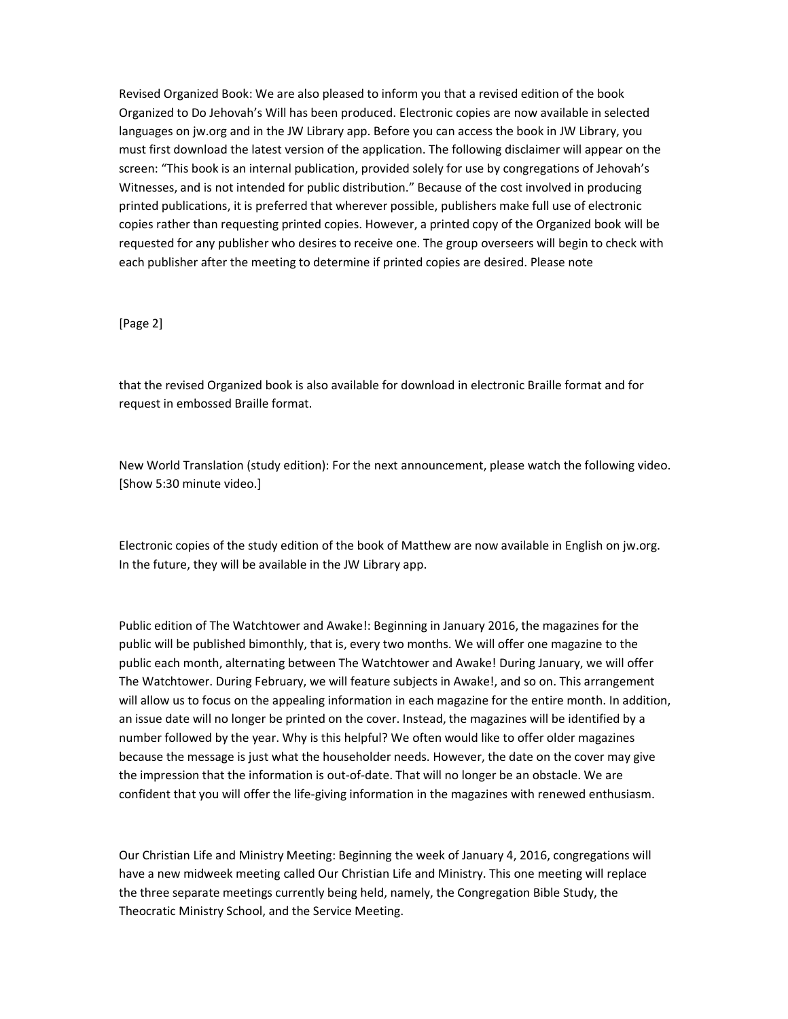Revised Organized Book: We are also pleased to inform you that a revised edition of the book Organized to Do Jehovah's Will has been produced. Electronic copies are now available in selected languages on jw.org and in the JW Library app. Before you can access the book in JW Library, you must first download the latest version of the application. The following disclaimer will appear on the screen: "This book is an internal publication, provided solely for use by congregations of Jehovah's Witnesses, and is not intended for public distribution." Because of the cost involved in producing printed publications, it is preferred that wherever possible, publishers make full use of electronic copies rather than requesting printed copies. However, a printed copy of the Organized book will be requested for any publisher who desires to receive one. The group overseers will begin to check with each publisher after the meeting to determine if printed copies are desired. Please note

## [Page 2]

that the revised Organized book is also available for download in electronic Braille format and for request in embossed Braille format.

New World Translation (study edition): For the next announcement, please watch the following video. [Show 5:30 minute video.]

Electronic copies of the study edition of the book of Matthew are now available in English on jw.org. In the future, they will be available in the JW Library app.

Public edition of The Watchtower and Awake!: Beginning in January 2016, the magazines for the public will be published bimonthly, that is, every two months. We will offer one magazine to the public each month, alternating between The Watchtower and Awake! During January, we will offer The Watchtower. During February, we will feature subjects in Awake!, and so on. This arrangement will allow us to focus on the appealing information in each magazine for the entire month. In addition, an issue date will no longer be printed on the cover. Instead, the magazines will be identified by a number followed by the year. Why is this helpful? We often would like to offer older magazines because the message is just what the householder needs. However, the date on the cover may give the impression that the information is out-of-date. That will no longer be an obstacle. We are confident that you will offer the life-giving information in the magazines with renewed enthusiasm.

Our Christian Life and Ministry Meeting: Beginning the week of January 4, 2016, congregations will have a new midweek meeting called Our Christian Life and Ministry. This one meeting will replace the three separate meetings currently being held, namely, the Congregation Bible Study, the Theocratic Ministry School, and the Service Meeting.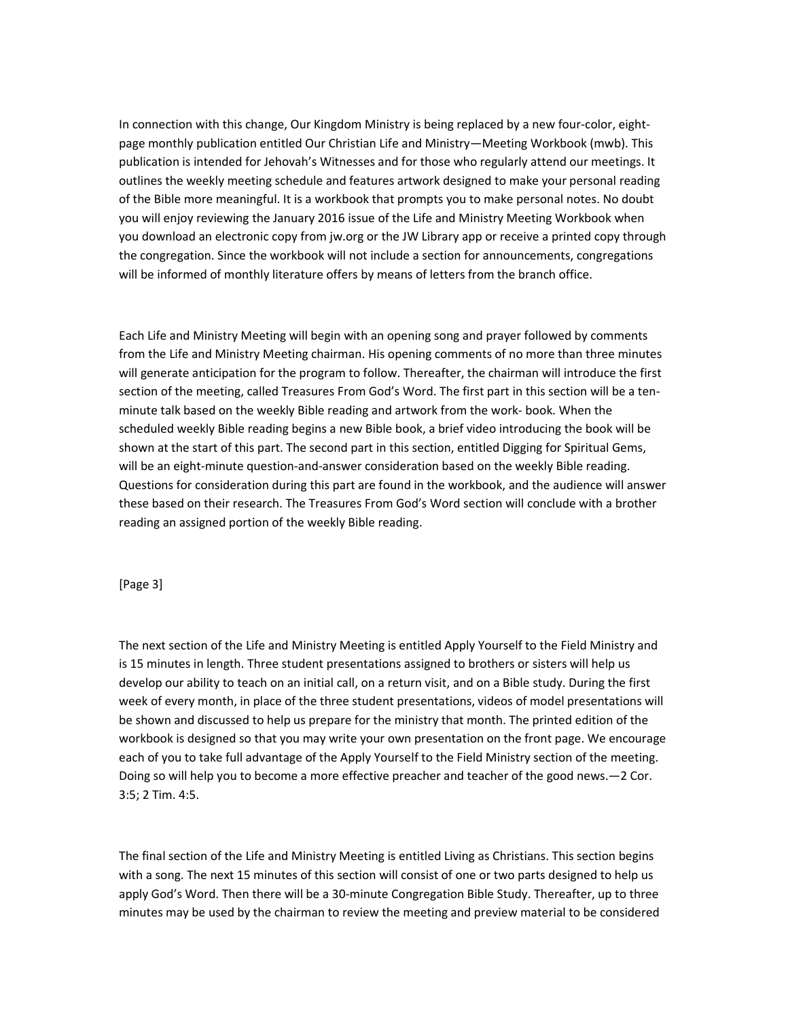In connection with this change, Our Kingdom Ministry is being replaced by a new four-color, eightpage monthly publication entitled Our Christian Life and Ministry—Meeting Workbook (mwb). This publication is intended for Jehovah's Witnesses and for those who regularly attend our meetings. It outlines the weekly meeting schedule and features artwork designed to make your personal reading of the Bible more meaningful. It is a workbook that prompts you to make personal notes. No doubt you will enjoy reviewing the January 2016 issue of the Life and Ministry Meeting Workbook when you download an electronic copy from jw.org or the JW Library app or receive a printed copy through the congregation. Since the workbook will not include a section for announcements, congregations will be informed of monthly literature offers by means of letters from the branch office.

Each Life and Ministry Meeting will begin with an opening song and prayer followed by comments from the Life and Ministry Meeting chairman. His opening comments of no more than three minutes will generate anticipation for the program to follow. Thereafter, the chairman will introduce the first section of the meeting, called Treasures From God's Word. The first part in this section will be a tenminute talk based on the weekly Bible reading and artwork from the work- book. When the scheduled weekly Bible reading begins a new Bible book, a brief video introducing the book will be shown at the start of this part. The second part in this section, entitled Digging for Spiritual Gems, will be an eight-minute question-and-answer consideration based on the weekly Bible reading. Questions for consideration during this part are found in the workbook, and the audience will answer these based on their research. The Treasures From God's Word section will conclude with a brother reading an assigned portion of the weekly Bible reading.

## [Page 3]

The next section of the Life and Ministry Meeting is entitled Apply Yourself to the Field Ministry and is 15 minutes in length. Three student presentations assigned to brothers or sisters will help us develop our ability to teach on an initial call, on a return visit, and on a Bible study. During the first week of every month, in place of the three student presentations, videos of model presentations will be shown and discussed to help us prepare for the ministry that month. The printed edition of the workbook is designed so that you may write your own presentation on the front page. We encourage each of you to take full advantage of the Apply Yourself to the Field Ministry section of the meeting. Doing so will help you to become a more effective preacher and teacher of the good news.—2 Cor. 3:5; 2 Tim. 4:5.

The final section of the Life and Ministry Meeting is entitled Living as Christians. This section begins with a song. The next 15 minutes of this section will consist of one or two parts designed to help us apply God's Word. Then there will be a 30-minute Congregation Bible Study. Thereafter, up to three minutes may be used by the chairman to review the meeting and preview material to be considered